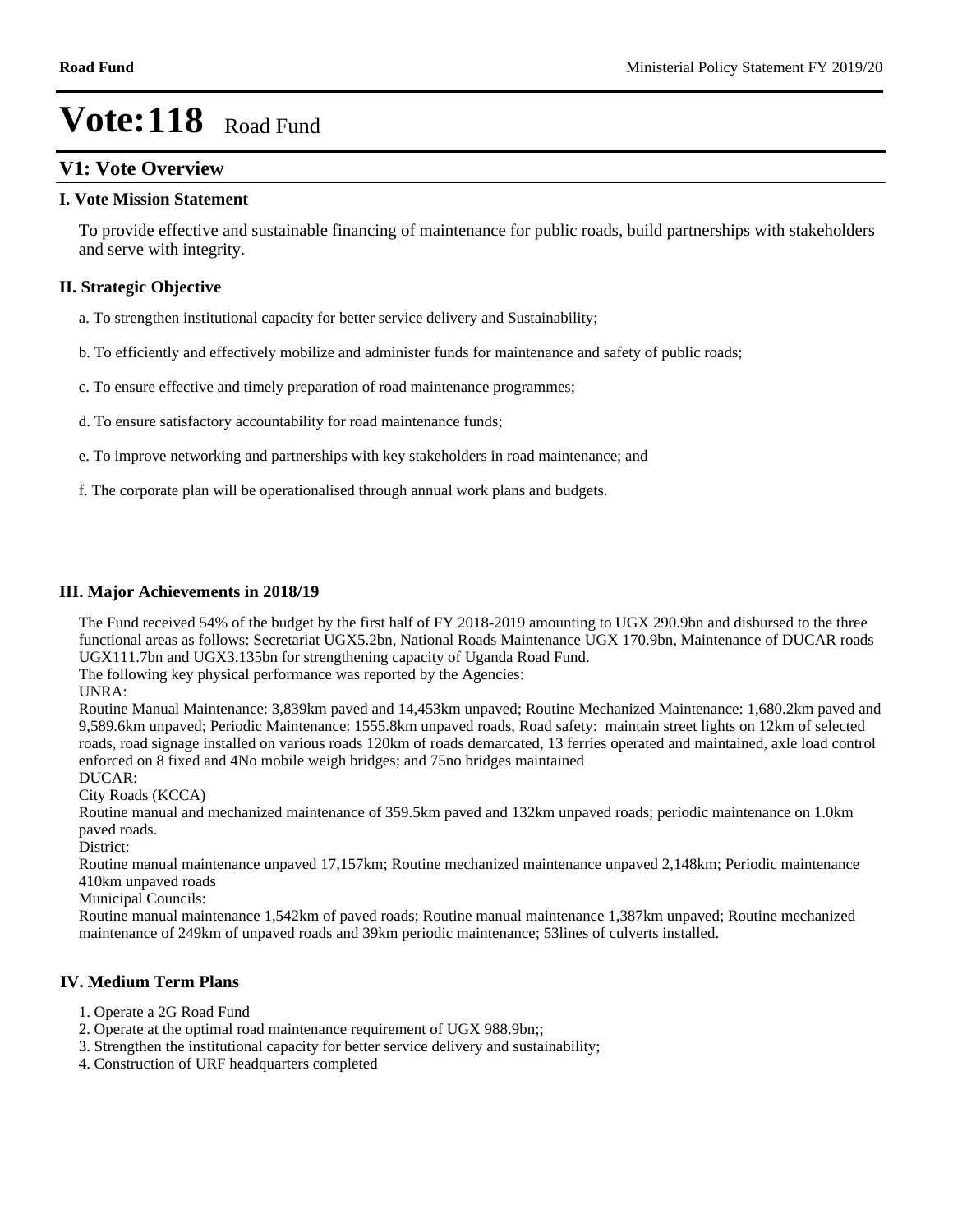## **V1: Vote Overview**

#### **I. Vote Mission Statement**

To provide effective and sustainable financing of maintenance for public roads, build partnerships with stakeholders and serve with integrity.

## **II. Strategic Objective**

- a. To strengthen institutional capacity for better service delivery and Sustainability;
- b. To efficiently and effectively mobilize and administer funds for maintenance and safety of public roads;
- c. To ensure effective and timely preparation of road maintenance programmes;
- d. To ensure satisfactory accountability for road maintenance funds;
- e. To improve networking and partnerships with key stakeholders in road maintenance; and
- f. The corporate plan will be operationalised through annual work plans and budgets.

#### **III. Major Achievements in 2018/19**

The Fund received 54% of the budget by the first half of FY 2018-2019 amounting to UGX 290.9bn and disbursed to the three functional areas as follows: Secretariat UGX5.2bn, National Roads Maintenance UGX 170.9bn, Maintenance of DUCAR roads UGX111.7bn and UGX3.135bn for strengthening capacity of Uganda Road Fund.

The following key physical performance was reported by the Agencies:

UNRA:

Routine Manual Maintenance: 3,839km paved and 14,453km unpaved; Routine Mechanized Maintenance: 1,680.2km paved and 9,589.6km unpaved; Periodic Maintenance: 1555.8km unpaved roads, Road safety: maintain street lights on 12km of selected roads, road signage installed on various roads 120km of roads demarcated, 13 ferries operated and maintained, axle load control enforced on 8 fixed and 4No mobile weigh bridges; and 75no bridges maintained DUCAR:

City Roads (KCCA)

Routine manual and mechanized maintenance of 359.5km paved and 132km unpaved roads; periodic maintenance on 1.0km paved roads.

District:

Routine manual maintenance unpaved 17,157km; Routine mechanized maintenance unpaved 2,148km; Periodic maintenance 410km unpaved roads

Municipal Councils:

Routine manual maintenance 1,542km of paved roads; Routine manual maintenance 1,387km unpaved; Routine mechanized maintenance of 249km of unpaved roads and 39km periodic maintenance; 53lines of culverts installed.

#### **IV. Medium Term Plans**

- 1. Operate a 2G Road Fund
- 2. Operate at the optimal road maintenance requirement of UGX 988.9bn;;
- 3. Strengthen the institutional capacity for better service delivery and sustainability;
- 4. Construction of URF headquarters completed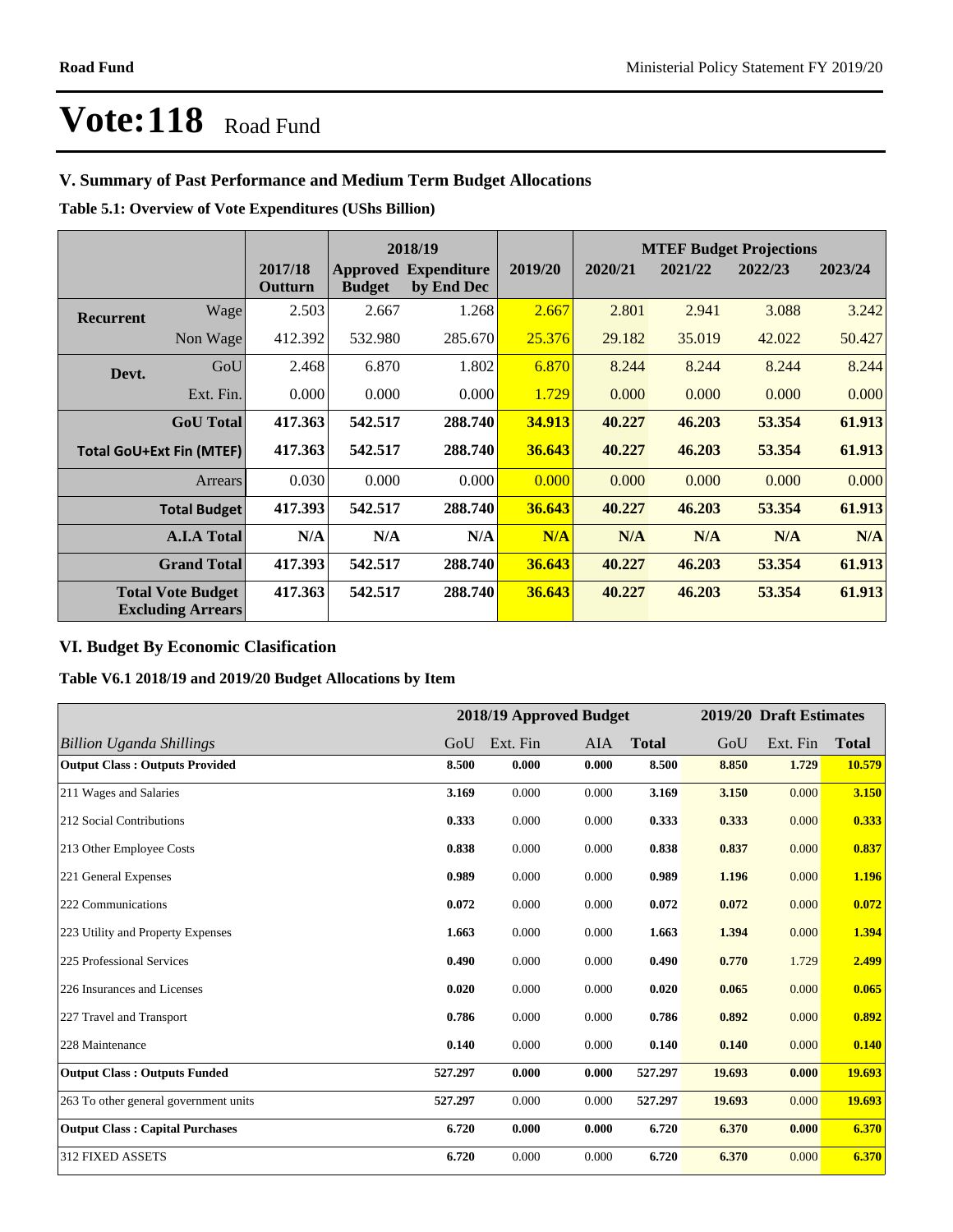# **V. Summary of Past Performance and Medium Term Budget Allocations**

**Table 5.1: Overview of Vote Expenditures (UShs Billion)**

|           | 2018/19                                              |                    |               |                                           |         |         |         | <b>MTEF Budget Projections</b> |         |
|-----------|------------------------------------------------------|--------------------|---------------|-------------------------------------------|---------|---------|---------|--------------------------------|---------|
|           |                                                      | 2017/18<br>Outturn | <b>Budget</b> | <b>Approved Expenditure</b><br>by End Dec | 2019/20 | 2020/21 | 2021/22 | 2022/23                        | 2023/24 |
| Recurrent | Wagel                                                | 2.503              | 2.667         | 1.268                                     | 2.667   | 2.801   | 2.941   | 3.088                          | 3.242   |
|           | Non Wage                                             | 412.392            | 532.980       | 285.670                                   | 25.376  | 29.182  | 35.019  | 42.022                         | 50.427  |
| Devt.     | GoU                                                  | 2.468              | 6.870         | 1.802                                     | 6.870   | 8.244   | 8.244   | 8.244                          | 8.244   |
|           | Ext. Fin.                                            | 0.000              | 0.000         | 0.000                                     | 1.729   | 0.000   | 0.000   | 0.000                          | 0.000   |
|           | <b>GoU</b> Total                                     | 417.363            | 542.517       | 288.740                                   | 34.913  | 40.227  | 46.203  | 53.354                         | 61.913  |
|           | <b>Total GoU+Ext Fin (MTEF)</b>                      | 417.363            | 542.517       | 288.740                                   | 36.643  | 40.227  | 46.203  | 53.354                         | 61.913  |
|           | Arrears                                              | 0.030              | 0.000         | 0.000                                     | 0.000   | 0.000   | 0.000   | 0.000                          | 0.000   |
|           | <b>Total Budget</b>                                  | 417.393            | 542.517       | 288.740                                   | 36.643  | 40.227  | 46.203  | 53.354                         | 61.913  |
|           | <b>A.I.A Total</b>                                   | N/A                | N/A           | N/A                                       | N/A     | N/A     | N/A     | N/A                            | N/A     |
|           | <b>Grand Total</b>                                   | 417.393            | 542.517       | 288.740                                   | 36.643  | 40.227  | 46.203  | 53.354                         | 61.913  |
|           | <b>Total Vote Budget</b><br><b>Excluding Arrears</b> | 417.363            | 542.517       | 288.740                                   | 36.643  | 40.227  | 46.203  | 53.354                         | 61.913  |

## **VI. Budget By Economic Clasification**

**Table V6.1 2018/19 and 2019/20 Budget Allocations by Item**

|                                        |         | 2018/19 Approved Budget |            |              |        | 2019/20 Draft Estimates |              |
|----------------------------------------|---------|-------------------------|------------|--------------|--------|-------------------------|--------------|
| <b>Billion Uganda Shillings</b>        | GoU     | Ext. Fin                | <b>AIA</b> | <b>Total</b> | GoU    | Ext. Fin                | <b>Total</b> |
| <b>Output Class: Outputs Provided</b>  | 8.500   | 0.000                   | 0.000      | 8.500        | 8.850  | 1.729                   | 10.579       |
| 211 Wages and Salaries                 | 3.169   | 0.000                   | 0.000      | 3.169        | 3.150  | 0.000                   | 3.150        |
| 212 Social Contributions               | 0.333   | 0.000                   | 0.000      | 0.333        | 0.333  | 0.000                   | 0.333        |
| 213 Other Employee Costs               | 0.838   | 0.000                   | 0.000      | 0.838        | 0.837  | 0.000                   | 0.837        |
| 221 General Expenses                   | 0.989   | 0.000                   | 0.000      | 0.989        | 1.196  | 0.000                   | 1.196        |
| 222 Communications                     | 0.072   | 0.000                   | 0.000      | 0.072        | 0.072  | 0.000                   | 0.072        |
| 223 Utility and Property Expenses      | 1.663   | 0.000                   | 0.000      | 1.663        | 1.394  | 0.000                   | 1.394        |
| 225 Professional Services              | 0.490   | 0.000                   | 0.000      | 0.490        | 0.770  | 1.729                   | 2.499        |
| 226 Insurances and Licenses            | 0.020   | 0.000                   | 0.000      | 0.020        | 0.065  | 0.000                   | 0.065        |
| 227 Travel and Transport               | 0.786   | 0.000                   | 0.000      | 0.786        | 0.892  | 0.000                   | 0.892        |
| 228 Maintenance                        | 0.140   | 0.000                   | 0.000      | 0.140        | 0.140  | 0.000                   | 0.140        |
| <b>Output Class: Outputs Funded</b>    | 527.297 | 0.000                   | 0.000      | 527.297      | 19.693 | 0.000                   | 19.693       |
| 263 To other general government units  | 527.297 | 0.000                   | 0.000      | 527.297      | 19.693 | 0.000                   | 19.693       |
| <b>Output Class: Capital Purchases</b> | 6.720   | 0.000                   | 0.000      | 6.720        | 6.370  | 0.000                   | 6.370        |
| <b>312 FIXED ASSETS</b>                | 6.720   | 0.000                   | 0.000      | 6.720        | 6.370  | 0.000                   | 6.370        |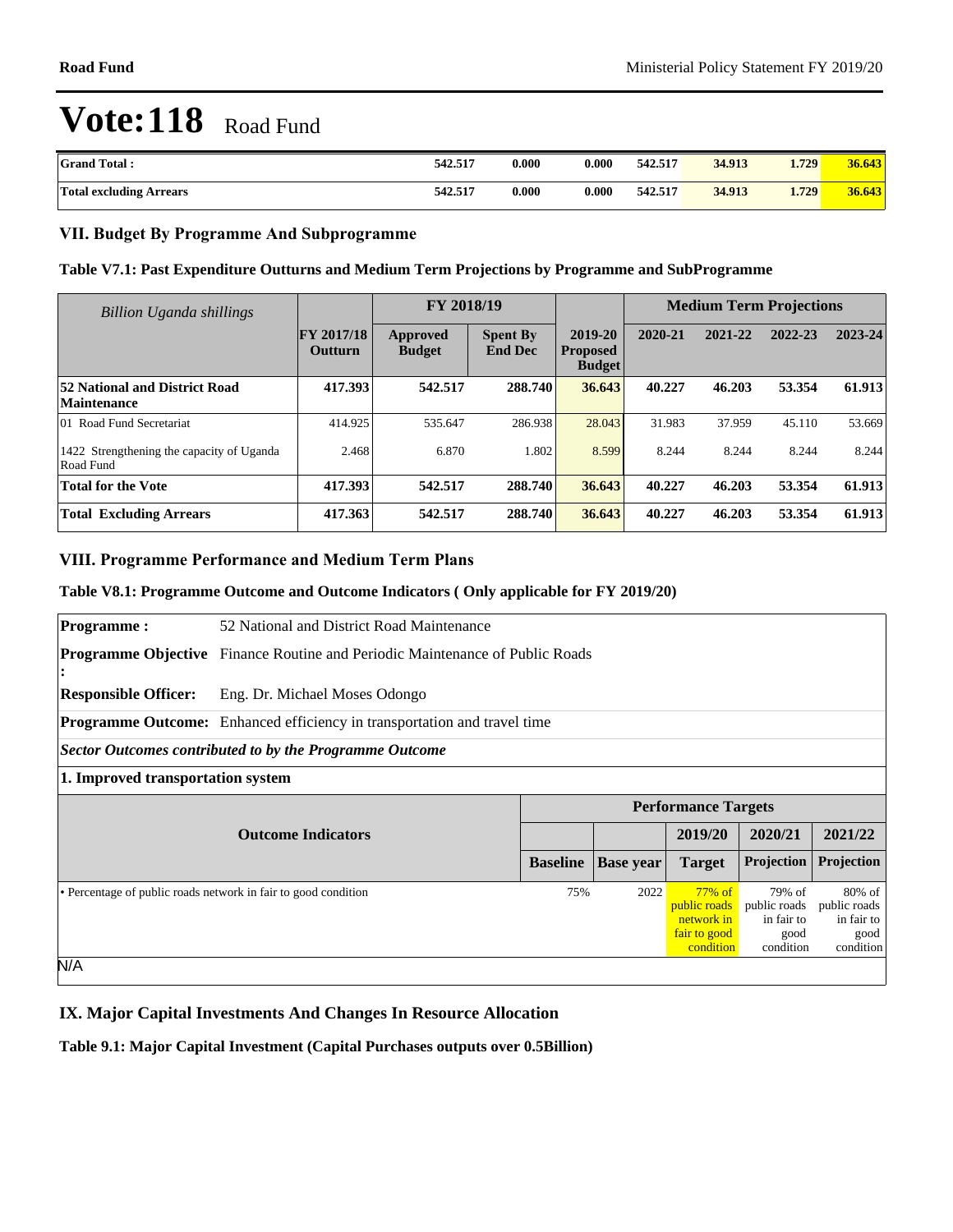| <b>Grand Total:</b>            | 542.517 | 0.000 | 0.000 | 542.517 | 34.913 | 1.729 | 36.643 |
|--------------------------------|---------|-------|-------|---------|--------|-------|--------|
| <b>Total excluding Arrears</b> | 542.517 | 0.000 | 0.000 | 542.517 | 34.913 | 1.729 | 36.643 |

### **VII. Budget By Programme And Subprogramme**

### **Table V7.1: Past Expenditure Outturns and Medium Term Projections by Programme and SubProgramme**

| Billion Uganda shillings                               |                                     | FY 2018/19                |                                   |                                             | <b>Medium Term Projections</b> |         |         |         |
|--------------------------------------------------------|-------------------------------------|---------------------------|-----------------------------------|---------------------------------------------|--------------------------------|---------|---------|---------|
|                                                        | <b>FY 2017/18</b><br><b>Outturn</b> | Approved<br><b>Budget</b> | <b>Spent By</b><br><b>End Dec</b> | 2019-20<br><b>Proposed</b><br><b>Budget</b> | 2020-21                        | 2021-22 | 2022-23 | 2023-24 |
| 52 National and District Road<br>Maintenance           | 417.393                             | 542.517                   | 288.740                           | 36.643                                      | 40.227                         | 46.203  | 53.354  | 61.913  |
| 01 Road Fund Secretariat                               | 414.925                             | 535.647                   | 286.938                           | 28.043                                      | 31.983                         | 37.959  | 45.110  | 53.669  |
| 1422 Strengthening the capacity of Uganda<br>Road Fund | 2.468                               | 6.870                     | 1.802                             | 8.599                                       | 8.244                          | 8.244   | 8.244   | 8.244   |
| <b>Total for the Vote</b>                              | 417.393                             | 542.517                   | 288.740                           | 36.643                                      | 40.227                         | 46.203  | 53.354  | 61.913  |
| <b>Total Excluding Arrears</b>                         | 417.363                             | 542.517                   | 288.740                           | 36.643                                      | 40.227                         | 46.203  | 53.354  | 61.913  |

## **VIII. Programme Performance and Medium Term Plans**

#### **Table V8.1: Programme Outcome and Outcome Indicators ( Only applicable for FY 2019/20)**

| <b>Programme:</b>                 | 52 National and District Road Maintenance                                           |                 |                  |                            |                            |                                                  |  |  |  |
|-----------------------------------|-------------------------------------------------------------------------------------|-----------------|------------------|----------------------------|----------------------------|--------------------------------------------------|--|--|--|
|                                   | <b>Programme Objective</b> Finance Routine and Periodic Maintenance of Public Roads |                 |                  |                            |                            |                                                  |  |  |  |
|                                   |                                                                                     |                 |                  |                            |                            |                                                  |  |  |  |
| <b>Responsible Officer:</b>       | Eng. Dr. Michael Moses Odongo                                                       |                 |                  |                            |                            |                                                  |  |  |  |
|                                   | Programme Outcome: Enhanced efficiency in transportation and travel time            |                 |                  |                            |                            |                                                  |  |  |  |
|                                   | Sector Outcomes contributed to by the Programme Outcome                             |                 |                  |                            |                            |                                                  |  |  |  |
| 1. Improved transportation system |                                                                                     |                 |                  |                            |                            |                                                  |  |  |  |
|                                   |                                                                                     |                 |                  |                            |                            |                                                  |  |  |  |
|                                   |                                                                                     |                 |                  | <b>Performance Targets</b> |                            |                                                  |  |  |  |
|                                   | <b>Outcome Indicators</b>                                                           |                 |                  | 2019/20                    | 2020/21                    | 2021/22                                          |  |  |  |
|                                   |                                                                                     | <b>Baseline</b> | <b>Base</b> year | <b>Target</b>              | Projection                 | Projection                                       |  |  |  |
|                                   | • Percentage of public roads network in fair to good condition                      | 75%             | 2022             | $77\%$ of                  | 79% of                     |                                                  |  |  |  |
|                                   |                                                                                     |                 |                  | public roads<br>network in | public roads<br>in fair to | $80\% \text{ of }$<br>public roads<br>in fair to |  |  |  |
|                                   |                                                                                     |                 |                  | fair to good<br>condition  | good<br>condition          | good<br>condition                                |  |  |  |

### **IX. Major Capital Investments And Changes In Resource Allocation**

**Table 9.1: Major Capital Investment (Capital Purchases outputs over 0.5Billion)**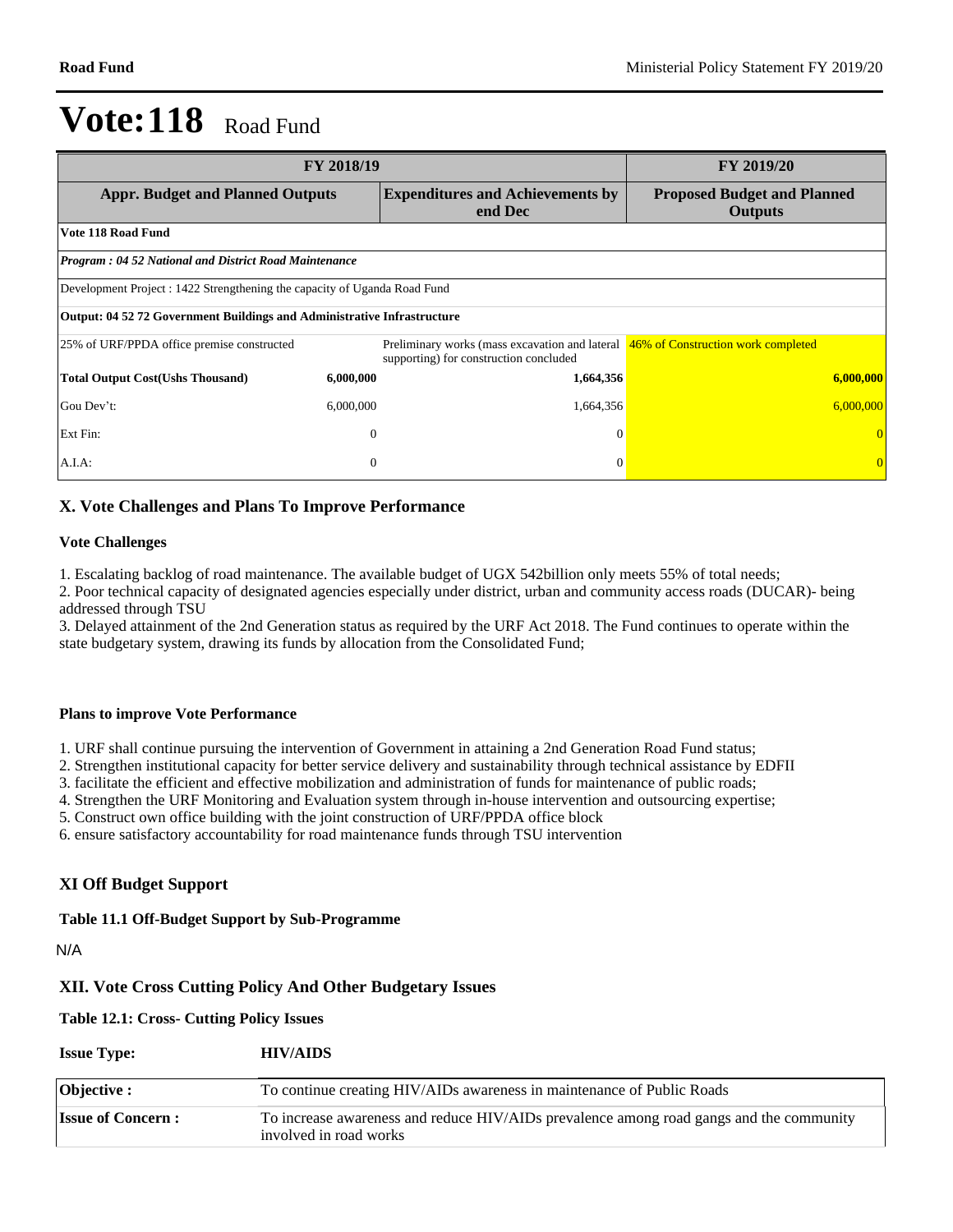| FY 2018/19                                                                | <b>FY 2019/20</b>                                                                                                           |                                                      |
|---------------------------------------------------------------------------|-----------------------------------------------------------------------------------------------------------------------------|------------------------------------------------------|
| <b>Appr. Budget and Planned Outputs</b>                                   | <b>Expenditures and Achievements by</b><br>end Dec                                                                          | <b>Proposed Budget and Planned</b><br><b>Outputs</b> |
| Vote 118 Road Fund                                                        |                                                                                                                             |                                                      |
| <b>Program: 04 52 National and District Road Maintenance</b>              |                                                                                                                             |                                                      |
| Development Project : 1422 Strengthening the capacity of Uganda Road Fund |                                                                                                                             |                                                      |
| Output: 04 52 72 Government Buildings and Administrative Infrastructure   |                                                                                                                             |                                                      |
| 25% of URF/PPDA office premise constructed                                | Preliminary works (mass excavation and lateral 46% of Construction work completed<br>supporting) for construction concluded |                                                      |
| <b>Total Output Cost(Ushs Thousand)</b><br>6,000,000                      | 1,664,356                                                                                                                   | 6,000,000                                            |
| Gou Dev't:<br>6,000,000                                                   | 1,664,356                                                                                                                   | 6,000,000                                            |
| Ext Fin:                                                                  | $\mathbf{0}$<br>$\Omega$                                                                                                    |                                                      |
| A.I.A.                                                                    | $\mathbf{0}$<br>$\Omega$                                                                                                    |                                                      |

## **X. Vote Challenges and Plans To Improve Performance**

#### **Vote Challenges**

1. Escalating backlog of road maintenance. The available budget of UGX 542billion only meets 55% of total needs;

2. Poor technical capacity of designated agencies especially under district, urban and community access roads (DUCAR)- being addressed through TSU

3. Delayed attainment of the 2nd Generation status as required by the URF Act 2018. The Fund continues to operate within the state budgetary system, drawing its funds by allocation from the Consolidated Fund;

#### **Plans to improve Vote Performance**

1. URF shall continue pursuing the intervention of Government in attaining a 2nd Generation Road Fund status;

2. Strengthen institutional capacity for better service delivery and sustainability through technical assistance by EDFII

3. facilitate the efficient and effective mobilization and administration of funds for maintenance of public roads;

4. Strengthen the URF Monitoring and Evaluation system through in-house intervention and outsourcing expertise;

5. Construct own office building with the joint construction of URF/PPDA office block

6. ensure satisfactory accountability for road maintenance funds through TSU intervention

### **XI Off Budget Support**

### **Table 11.1 Off-Budget Support by Sub-Programme**

N/A

### **XII. Vote Cross Cutting Policy And Other Budgetary Issues**

#### **Table 12.1: Cross- Cutting Policy Issues**

| <b>Issue Type:</b>       | <b>HIV/AIDS</b>                                                                                                   |
|--------------------------|-------------------------------------------------------------------------------------------------------------------|
| <b>Objective :</b>       | To continue creating HIV/AIDs awareness in maintenance of Public Roads                                            |
| <b>Issue of Concern:</b> | To increase awareness and reduce HIV/AIDs prevalence among road gangs and the community<br>involved in road works |